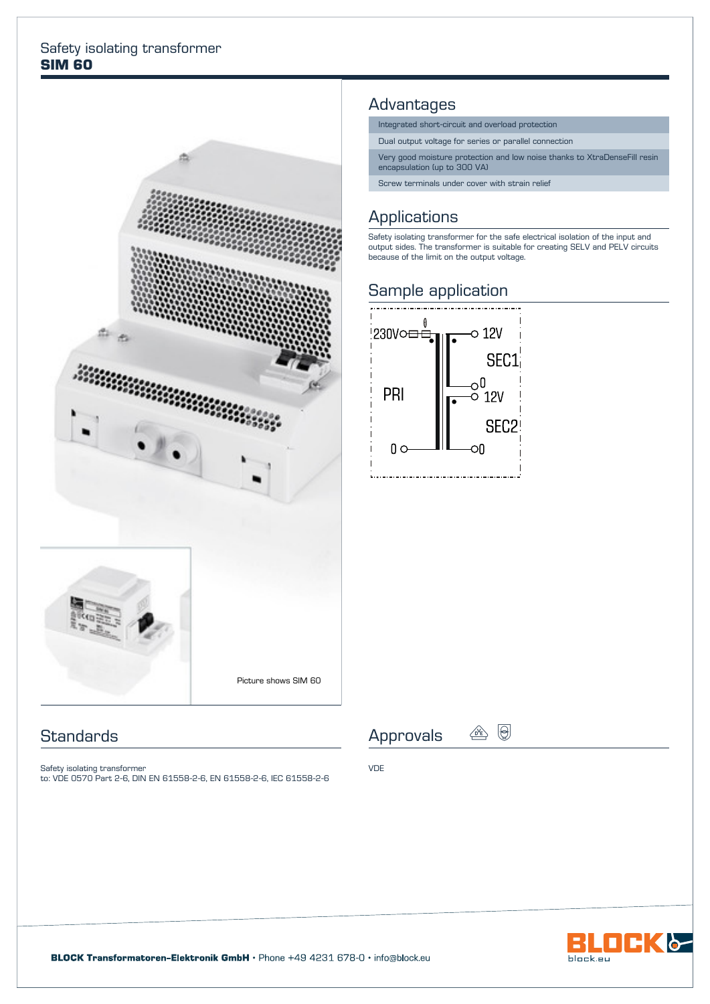#### Safety isolating transformer **SIM 60**



### **Standards**

Safety isolating transformer to: VDE 0570 Part 2-6, DIN EN 61558-2-6, EN 61558-2-6, IEC 61558-2-6

### Advantages

- Integrated short-circuit and overload protection
- Dual output voltage for series or parallel connection
- Very good moisture protection and low noise thanks to XtraDenseFill resin encapsulation (up to 300 VA)
- Screw terminals under cover with strain relief

# **Applications**

Safety isolating transformer for the safe electrical isolation of the input and output sides. The transformer is suitable for creating SELV and PELV circuits because of the limit on the output voltage.

### Sample application



Approvals  $\circledcirc$   $\circledcirc$ 

VDE